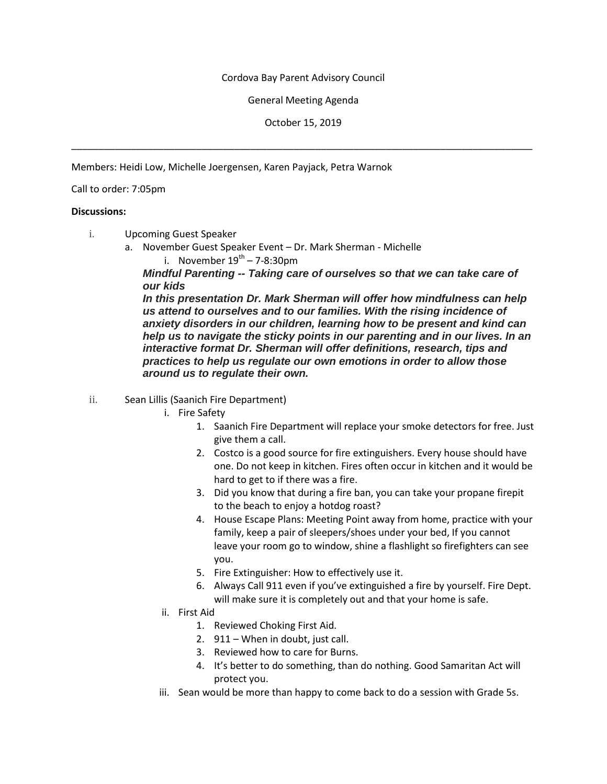## Cordova Bay Parent Advisory Council

## General Meeting Agenda

October 15, 2019

\_\_\_\_\_\_\_\_\_\_\_\_\_\_\_\_\_\_\_\_\_\_\_\_\_\_\_\_\_\_\_\_\_\_\_\_\_\_\_\_\_\_\_\_\_\_\_\_\_\_\_\_\_\_\_\_\_\_\_\_\_\_\_\_\_\_\_\_\_\_\_\_\_\_\_\_\_\_\_\_\_\_\_\_\_

Members: Heidi Low, Michelle Joergensen, Karen Payjack, Petra Warnok

## Call to order: 7:05pm

## **Discussions:**

- i. Upcoming Guest Speaker
	- a. November Guest Speaker Event Dr. Mark Sherman Michelle i. November  $19^{th}$  – 7-8:30pm

*Mindful Parenting -- Taking care of ourselves so that we can take care of our kids*

*In this presentation Dr. Mark Sherman will offer how mindfulness can help us attend to ourselves and to our families. With the rising incidence of anxiety disorders in our children, learning how to be present and kind can help us to navigate the sticky points in our parenting and in our lives. In an interactive format Dr. Sherman will offer definitions, research, tips and practices to help us regulate our own emotions in order to allow those around us to regulate their own.*

- ii. Sean Lillis (Saanich Fire Department)
	- i. Fire Safety
		- 1. Saanich Fire Department will replace your smoke detectors for free. Just give them a call.
		- 2. Costco is a good source for fire extinguishers. Every house should have one. Do not keep in kitchen. Fires often occur in kitchen and it would be hard to get to if there was a fire.
		- 3. Did you know that during a fire ban, you can take your propane firepit to the beach to enjoy a hotdog roast?
		- 4. House Escape Plans: Meeting Point away from home, practice with your family, keep a pair of sleepers/shoes under your bed, If you cannot leave your room go to window, shine a flashlight so firefighters can see you.
		- 5. Fire Extinguisher: How to effectively use it.
		- 6. Always Call 911 even if you've extinguished a fire by yourself. Fire Dept. will make sure it is completely out and that your home is safe.
	- ii. First Aid
		- 1. Reviewed Choking First Aid.
		- 2. 911 When in doubt, just call.
		- 3. Reviewed how to care for Burns.
		- 4. It's better to do something, than do nothing. Good Samaritan Act will protect you.
	- iii. Sean would be more than happy to come back to do a session with Grade 5s.